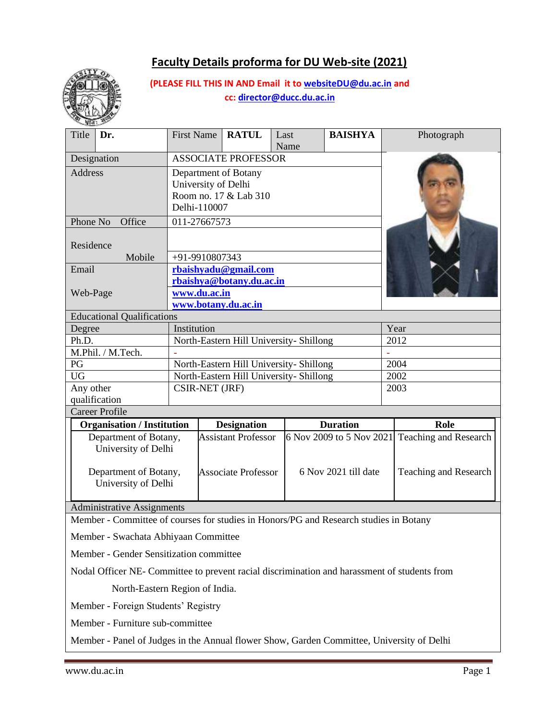# **Faculty Details proforma for DU Web-site (2021)**



**(PLEASE FILL THIS IN AND Email it to [websiteDU@du.ac.in](mailto:websiteDU@du.ac.in) and cc[: director@ducc.du.ac.in](mailto:director@ducc.du.ac.in)**

| Title<br>Dr.                                                                                                              | <b>First Name</b> |                                                    | <b>RATUL</b>               | Last<br>Name                            | <b>BAISHYA</b>                                   |                       | Photograph |  |
|---------------------------------------------------------------------------------------------------------------------------|-------------------|----------------------------------------------------|----------------------------|-----------------------------------------|--------------------------------------------------|-----------------------|------------|--|
| Designation                                                                                                               |                   |                                                    | <b>ASSOCIATE PROFESSOR</b> |                                         |                                                  |                       |            |  |
| <b>Address</b>                                                                                                            |                   | Department of Botany                               |                            |                                         |                                                  |                       |            |  |
|                                                                                                                           |                   |                                                    | University of Delhi        |                                         |                                                  |                       |            |  |
|                                                                                                                           |                   |                                                    | Room no. 17 & Lab 310      |                                         |                                                  |                       |            |  |
|                                                                                                                           | Delhi-110007      |                                                    |                            |                                         |                                                  |                       |            |  |
| Phone No<br>Office                                                                                                        | 011-27667573      |                                                    |                            |                                         |                                                  |                       |            |  |
|                                                                                                                           |                   |                                                    |                            |                                         |                                                  |                       |            |  |
| Residence                                                                                                                 |                   |                                                    |                            |                                         |                                                  |                       |            |  |
| Mobile                                                                                                                    | +91-9910807343    |                                                    |                            |                                         |                                                  |                       |            |  |
| Email                                                                                                                     |                   |                                                    | rbaishyadu@gmail.com       |                                         |                                                  |                       |            |  |
|                                                                                                                           |                   | rbaishya@botany.du.ac.in                           |                            |                                         |                                                  |                       |            |  |
| Web-Page                                                                                                                  | www.du.ac.in      |                                                    |                            |                                         |                                                  |                       |            |  |
|                                                                                                                           |                   |                                                    | www.botany.du.ac.in        |                                         |                                                  |                       |            |  |
| <b>Educational Qualifications</b>                                                                                         |                   |                                                    |                            |                                         |                                                  |                       |            |  |
| Degree                                                                                                                    | Institution       |                                                    |                            |                                         |                                                  | Year                  |            |  |
| Ph.D.                                                                                                                     |                   |                                                    |                            | North-Eastern Hill University- Shillong |                                                  |                       | 2012       |  |
| M.Phil. / M.Tech.                                                                                                         |                   |                                                    |                            |                                         |                                                  |                       |            |  |
| PG                                                                                                                        |                   |                                                    |                            | North-Eastern Hill University- Shillong |                                                  |                       | 2004       |  |
| <b>UG</b>                                                                                                                 |                   |                                                    |                            | North-Eastern Hill University- Shillong |                                                  |                       | 2002       |  |
| Any other                                                                                                                 |                   | CSIR-NET (JRF)                                     |                            |                                         | 2003                                             |                       |            |  |
| qualification                                                                                                             |                   |                                                    |                            |                                         |                                                  |                       |            |  |
| <b>Career Profile</b>                                                                                                     |                   |                                                    |                            |                                         |                                                  |                       |            |  |
| <b>Organisation / Institution</b>                                                                                         |                   |                                                    | <b>Designation</b>         |                                         | <b>Duration</b>                                  |                       | Role       |  |
| Department of Botany,                                                                                                     |                   | <b>Assistant Professor</b>                         |                            |                                         | $6$ Nov 2009 to 5 Nov 2021 Teaching and Research |                       |            |  |
| University of Delhi                                                                                                       |                   |                                                    |                            |                                         |                                                  |                       |            |  |
|                                                                                                                           |                   |                                                    |                            |                                         |                                                  |                       |            |  |
| Department of Botany,                                                                                                     |                   | 6 Nov 2021 till date<br><b>Associate Professor</b> |                            |                                         |                                                  | Teaching and Research |            |  |
| University of Delhi                                                                                                       |                   |                                                    |                            |                                         |                                                  |                       |            |  |
|                                                                                                                           |                   |                                                    |                            |                                         |                                                  |                       |            |  |
| <b>Administrative Assignments</b><br>Momber. Committee of courses for studies in Honors/DC and Desearch studies in Rotany |                   |                                                    |                            |                                         |                                                  |                       |            |  |

Member - Committee of courses for studies in Honors/PG and Research studies in Botany

Member - Swachata Abhiyaan Committee

Member - Gender Sensitization committee

Nodal Officer NE- Committee to prevent racial discrimination and harassment of students from

North-Eastern Region of India.

Member - Foreign Students' Registry

Member - Furniture sub-committee

Member - Panel of Judges in the Annual flower Show, Garden Committee, University of Delhi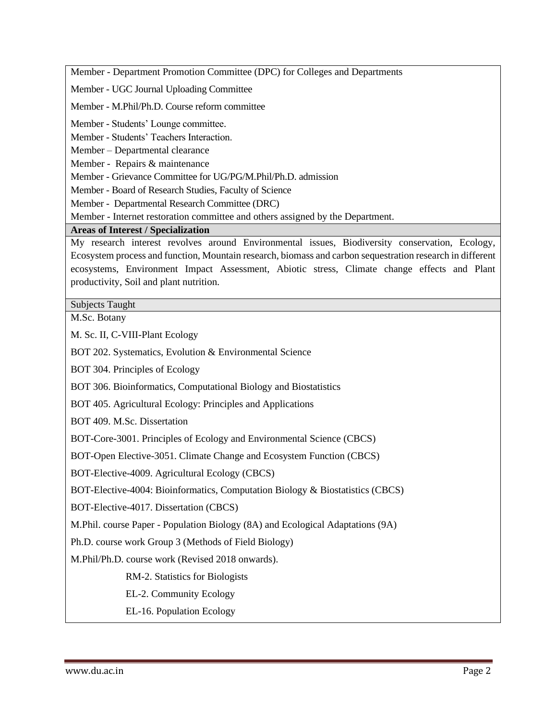Member - Department Promotion Committee (DPC) for Colleges and Departments

Member - UGC Journal Uploading Committee

Member - M.Phil/Ph.D. Course reform committee

Member - Students' Lounge committee.

Member - Students' Teachers Interaction.

Member – Departmental clearance

Member - Repairs & maintenance

Member - Grievance Committee for UG/PG/M.Phil/Ph.D. admission

Member - Board of Research Studies, Faculty of Science

Member - Departmental Research Committee (DRC)

Member - Internet restoration committee and others assigned by the Department.

**Areas of Interest / Specialization**

My research interest revolves around Environmental issues, Biodiversity conservation, Ecology, Ecosystem process and function, Mountain research, biomass and carbon sequestration research in different ecosystems, Environment Impact Assessment, Abiotic stress, Climate change effects and Plant productivity, Soil and plant nutrition.

Subjects Taught

M.Sc. Botany

M. Sc. II, C-VIII-Plant Ecology

BOT 202. Systematics, Evolution & Environmental Science

BOT 304. Principles of Ecology

BOT 306. Bioinformatics, Computational Biology and Biostatistics

BOT 405. Agricultural Ecology: Principles and Applications

BOT 409. M.Sc. Dissertation

BOT-Core-3001. Principles of Ecology and Environmental Science (CBCS)

BOT-Open Elective-3051. Climate Change and Ecosystem Function (CBCS)

BOT-Elective-4009. Agricultural Ecology (CBCS)

BOT-Elective-4004: Bioinformatics, Computation Biology & Biostatistics (CBCS)

BOT-Elective-4017. Dissertation (CBCS)

M.Phil. course Paper - Population Biology (8A) and Ecological Adaptations (9A)

Ph.D. course work Group 3 (Methods of Field Biology)

M.Phil/Ph.D. course work (Revised 2018 onwards).

RM-2. Statistics for Biologists

EL-2. Community Ecology

EL-16. Population Ecology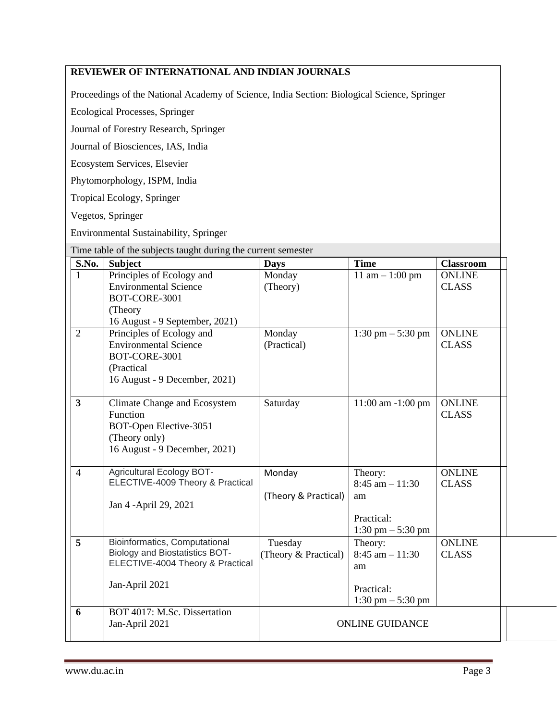### **REVIEWER OF INTERNATIONAL AND INDIAN JOURNALS**

Proceedings of the National Academy of Science, India Section: Biological Science, Springer

Ecological Processes, Springer

Journal of Forestry Research, Springer

Journal of Biosciences, IAS, India

Ecosystem Services, Elsevier

Phytomorphology, ISPM, India

Tropical Ecology, Springer

Vegetos, Springer

Environmental Sustainability, Springer

|                | Time table of the subjects taught during the current semester                                                             |                                 |                                                                                          |                               |
|----------------|---------------------------------------------------------------------------------------------------------------------------|---------------------------------|------------------------------------------------------------------------------------------|-------------------------------|
| S.No.          | <b>Subject</b>                                                                                                            | <b>Days</b>                     | <b>Time</b>                                                                              | <b>Classroom</b>              |
| $\mathbf{1}$   | Principles of Ecology and<br><b>Environmental Science</b><br>BOT-CORE-3001<br>(Theory)<br>16 August - 9 September, 2021)  | Monday<br>(Theory)              | 11 am $- 1:00$ pm                                                                        | <b>ONLINE</b><br><b>CLASS</b> |
| $\overline{2}$ | Principles of Ecology and<br><b>Environmental Science</b><br>BOT-CORE-3001<br>(Practical<br>16 August - 9 December, 2021) | Monday<br>(Practical)           | 1:30 pm $-$ 5:30 pm                                                                      | <b>ONLINE</b><br><b>CLASS</b> |
| $\mathbf{3}$   | Climate Change and Ecosystem<br>Function<br>BOT-Open Elective-3051<br>(Theory only)<br>16 August - 9 December, 2021)      | Saturday                        | $11:00$ am $-1:00$ pm                                                                    | <b>ONLINE</b><br><b>CLASS</b> |
| $\overline{4}$ | <b>Agricultural Ecology BOT-</b><br>ELECTIVE-4009 Theory & Practical<br>Jan 4 - April 29, 2021                            | Monday<br>(Theory & Practical)  | Theory:<br>$8:45$ am $-11:30$<br>am<br>Practical:<br>$1:30 \text{ pm} - 5:30 \text{ pm}$ | <b>ONLINE</b><br><b>CLASS</b> |
| 5              | Bioinformatics, Computational<br>Biology and Biostatistics BOT-<br>ELECTIVE-4004 Theory & Practical<br>Jan-April 2021     | Tuesday<br>(Theory & Practical) | Theory:<br>$8:45$ am $-11:30$<br>am<br>Practical:<br>$1:30 \text{ pm} - 5:30 \text{ pm}$ | <b>ONLINE</b><br><b>CLASS</b> |
| 6              | BOT 4017: M.Sc. Dissertation<br>Jan-April 2021                                                                            | <b>ONLINE GUIDANCE</b>          |                                                                                          |                               |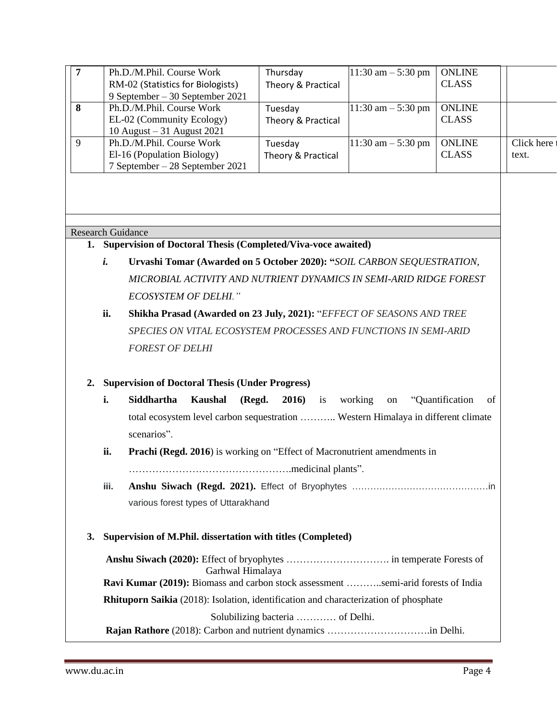| 7  |                                                                                        | Ph.D./M.Phil. Course Work                                                                             | Thursday           | $11:30$ am $-5:30$ pm  | <b>ONLINE</b>                 |            |  |  |
|----|----------------------------------------------------------------------------------------|-------------------------------------------------------------------------------------------------------|--------------------|------------------------|-------------------------------|------------|--|--|
|    |                                                                                        | RM-02 (Statistics for Biologists)                                                                     | Theory & Practical |                        | <b>CLASS</b>                  |            |  |  |
|    |                                                                                        | 9 September – 30 September 2021                                                                       |                    |                        |                               |            |  |  |
| 8  |                                                                                        | Ph.D./M.Phil. Course Work                                                                             | Tuesday            | $11:30$ am $- 5:30$ pm | <b>ONLINE</b>                 |            |  |  |
|    |                                                                                        | EL-02 (Community Ecology)                                                                             | Theory & Practical |                        | <b>CLASS</b>                  |            |  |  |
| 9  |                                                                                        | 10 August - 31 August 2021                                                                            |                    |                        |                               |            |  |  |
|    |                                                                                        | Ph.D./M.Phil. Course Work                                                                             | Tuesday            | $11:30$ am $-5:30$ pm  | <b>ONLINE</b><br><b>CLASS</b> | Click here |  |  |
|    |                                                                                        | El-16 (Population Biology)<br>7 September – 28 September 2021                                         | Theory & Practical |                        |                               | text.      |  |  |
|    |                                                                                        |                                                                                                       |                    |                        |                               |            |  |  |
|    |                                                                                        | <b>Research Guidance</b>                                                                              |                    |                        |                               |            |  |  |
|    |                                                                                        | 1. Supervision of Doctoral Thesis (Completed/Viva-voce awaited)                                       |                    |                        |                               |            |  |  |
|    | i.                                                                                     | Urvashi Tomar (Awarded on 5 October 2020): "SOIL CARBON SEQUESTRATION,                                |                    |                        |                               |            |  |  |
|    | MICROBIAL ACTIVITY AND NUTRIENT DYNAMICS IN SEMI-ARID RIDGE FOREST                     |                                                                                                       |                    |                        |                               |            |  |  |
|    |                                                                                        | <b>ECOSYSTEM OF DELHI."</b>                                                                           |                    |                        |                               |            |  |  |
|    | ii.                                                                                    | Shikha Prasad (Awarded on 23 July, 2021): "EFFECT OF SEASONS AND TREE                                 |                    |                        |                               |            |  |  |
|    | SPECIES ON VITAL ECOSYSTEM PROCESSES AND FUNCTIONS IN SEMI-ARID                        |                                                                                                       |                    |                        |                               |            |  |  |
|    |                                                                                        | <b>FOREST OF DELHI</b>                                                                                |                    |                        |                               |            |  |  |
| 2. |                                                                                        | <b>Supervision of Doctoral Thesis (Under Progress)</b>                                                |                    |                        |                               |            |  |  |
|    | i.                                                                                     | Siddhartha<br><b>Kaushal</b><br>(Regd.                                                                | <b>2016</b> ) is   | working<br>on          | "Quantification<br>of         |            |  |  |
|    |                                                                                        | total ecosystem level carbon sequestration  Western Himalaya in different climate                     |                    |                        |                               |            |  |  |
|    | scenarios".                                                                            |                                                                                                       |                    |                        |                               |            |  |  |
|    |                                                                                        |                                                                                                       |                    |                        |                               |            |  |  |
|    | ii.<br><b>Prachi (Regd. 2016)</b> is working on "Effect of Macronutrient amendments in |                                                                                                       |                    |                        |                               |            |  |  |
|    |                                                                                        |                                                                                                       |                    |                        |                               |            |  |  |
|    | iii.<br>various forest types of Uttarakhand                                            |                                                                                                       |                    |                        |                               |            |  |  |
|    |                                                                                        |                                                                                                       |                    |                        |                               |            |  |  |
|    |                                                                                        |                                                                                                       |                    |                        |                               |            |  |  |
|    |                                                                                        |                                                                                                       |                    |                        |                               |            |  |  |
| 3. |                                                                                        | Supervision of M.Phil. dissertation with titles (Completed)                                           |                    |                        |                               |            |  |  |
|    |                                                                                        |                                                                                                       |                    |                        |                               |            |  |  |
|    |                                                                                        | Garhwal Himalaya<br>Ravi Kumar (2019): Biomass and carbon stock assessment semi-arid forests of India |                    |                        |                               |            |  |  |
|    |                                                                                        |                                                                                                       |                    |                        |                               |            |  |  |

**Rhituporn Saikia** (2018): Isolation, identification and characterization of phosphate

Solubilizing bacteria ………… of Delhi.

 **Rajan Rathore** (2018): Carbon and nutrient dynamics ………………………….in Delhi.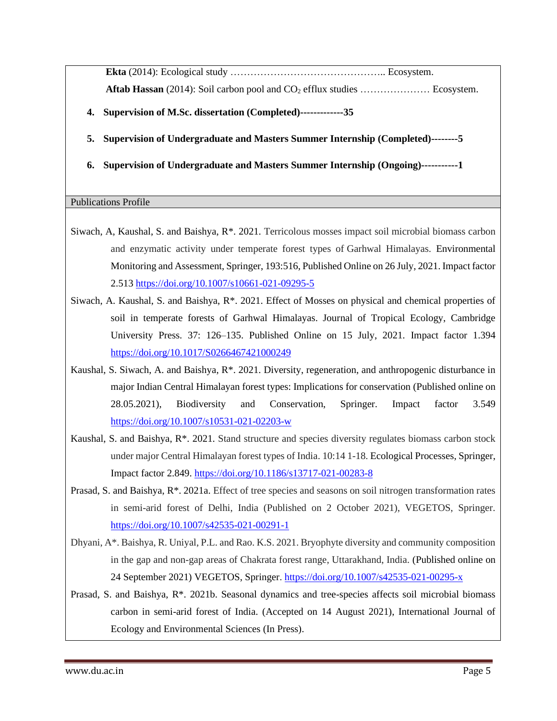**Ekta** (2014): Ecological study ……………………………………….. Ecosystem. Aftab Hassan (2014): Soil carbon pool and CO<sub>2</sub> efflux studies ....................... Ecosystem.

- **4. Supervision of M.Sc. dissertation (Completed)-------------35**
- **5. Supervision of Undergraduate and Masters Summer Internship (Completed)--------5**
- **6. Supervision of Undergraduate and Masters Summer Internship (Ongoing)-----------1**

#### Publications Profile

- Siwach, A, Kaushal, S. and Baishya,  $R^*$ . 2021. Terricolous mosses impact soil microbial biomass carbon and enzymatic activity under temperate forest types of Garhwal Himalayas. Environmental Monitoring and Assessment, Springer, 193:516, Published Online on 26 July, 2021. Impact factor 2.513 <https://doi.org/10.1007/s10661-021-09295-5>
- Siwach, A. Kaushal, S. and Baishya, R\*. 2021. Effect of Mosses on physical and chemical properties of soil in temperate forests of Garhwal Himalayas. Journal of Tropical Ecology, Cambridge University Press. 37: 126–135. Published Online on 15 July, 2021. Impact factor 1.394 <https://doi.org/10.1017/S0266467421000249>
- Kaushal, S. Siwach, A. and Baishya, R\*. 2021. Diversity, regeneration, and anthropogenic disturbance in major Indian Central Himalayan forest types: Implications for conservation (Published online on 28.05.2021), Biodiversity and Conservation, Springer. Impact factor 3.549 <https://doi.org/10.1007/s10531-021-02203-w>
- Kaushal, S. and Baishya,  $\mathbb{R}^*$ . 2021. Stand structure and species diversity regulates biomass carbon stock under major Central Himalayan forest types of India. 10:14 1-18. Ecological Processes, Springer, Impact factor 2.849.<https://doi.org/10.1186/s13717-021-00283-8>
- Prasad, S. and Baishya, R\*. 2021a. Effect of tree species and seasons on soil nitrogen transformation rates in semi-arid forest of Delhi, India (Published on 2 October 2021), VEGETOS, Springer. <https://doi.org/10.1007/s42535-021-00291-1>
- Dhyani, A\*. Baishya, R. Uniyal, P.L. and Rao. K.S. 2021. Bryophyte diversity and community composition in the gap and non-gap areas of Chakrata forest range, Uttarakhand, India. (Published online on 24 September 2021) VEGETOS, Springer[. https://doi.org/10.1007/s42535-021-00295-x](https://doi.org/10.1007/s42535-021-00295-x)
- Prasad, S. and Baishya, R\*. 2021b. Seasonal dynamics and tree-species affects soil microbial biomass carbon in semi-arid forest of India. (Accepted on 14 August 2021), International Journal of Ecology and Environmental Sciences (In Press).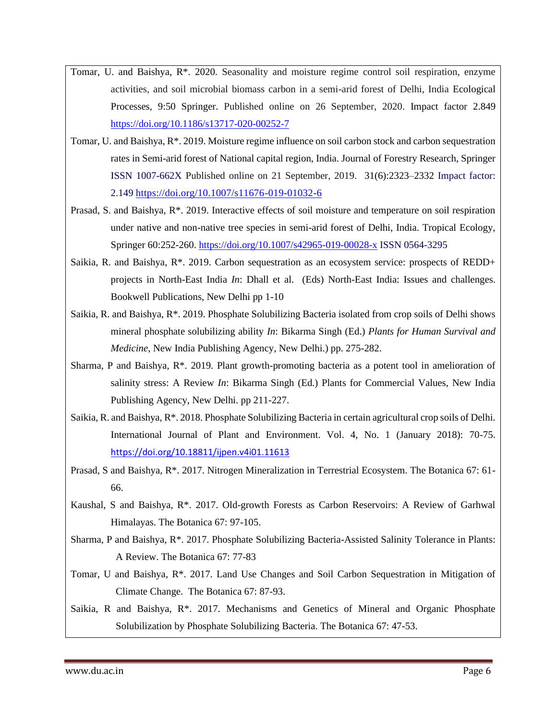- Tomar, U. and Baishya, R\*. 2020. Seasonality and moisture regime control soil respiration, enzyme activities, and soil microbial biomass carbon in a semi-arid forest of Delhi, India Ecological Processes, 9:50 Springer. Published online on 26 September, 2020. Impact factor 2.849 <https://doi.org/10.1186/s13717-020-00252-7>
- Tomar, U. and Baishya, R\*. 2019. Moisture regime influence on soil carbon stock and carbon sequestration rates in Semi-arid forest of National capital region, India. Journal of Forestry Research, Springer ISSN 1007-662X Published online on 21 September, 2019. 31(6):2323–2332 Impact factor: 2.149<https://doi.org/10.1007/s11676-019-01032-6>
- Prasad, S. and Baishya, R\*. 2019. Interactive effects of soil moisture and temperature on soil respiration under native and non-native tree species in semi-arid forest of Delhi, India. Tropical Ecology, Springer 60:252-260[. https://doi.org/10.1007/s42965-019-00028-x](https://doi.org/10.1007/s42965-019-00028-x) ISSN 0564-3295
- Saikia, R. and Baishya, R\*. 2019. Carbon sequestration as an ecosystem service: prospects of REDD+ projects in North-East India *In*: Dhall et al. (Eds) North-East India: Issues and challenges. Bookwell Publications, New Delhi pp 1-10
- Saikia, R. and Baishya, R\*. 2019. Phosphate Solubilizing Bacteria isolated from crop soils of Delhi shows mineral phosphate solubilizing ability *In*: Bikarma Singh (Ed.) *Plants for Human Survival and Medicine*, New India Publishing Agency, New Delhi.) pp. 275-282.
- Sharma, P and Baishya,  $R^*$ . 2019. Plant growth-promoting bacteria as a potent tool in amelioration of salinity stress: A Review *In*: Bikarma Singh (Ed.) Plants for Commercial Values, New India Publishing Agency, New Delhi. pp 211-227.
- Saikia, R. and Baishya, R\*. 2018. Phosphate Solubilizing Bacteria in certain agricultural crop soils of Delhi. International Journal of Plant and Environment. Vol. 4, No. 1 (January 2018): 70-75. <https://doi.org/10.18811/ijpen.v4i01.11613>
- Prasad, S and Baishya, R\*. 2017. Nitrogen Mineralization in Terrestrial Ecosystem. The Botanica 67: 61- 66.
- Kaushal, S and Baishya, R\*. 2017. Old-growth Forests as Carbon Reservoirs: A Review of Garhwal Himalayas. The Botanica 67: 97-105.
- Sharma, P and Baishya, R\*. 2017. Phosphate Solubilizing Bacteria-Assisted Salinity Tolerance in Plants: A Review. The Botanica 67: 77-83
- Tomar, U and Baishya, R\*. 2017. Land Use Changes and Soil Carbon Sequestration in Mitigation of Climate Change. The Botanica 67: 87-93.
- Saikia, R and Baishya, R\*. 2017. Mechanisms and Genetics of Mineral and Organic Phosphate Solubilization by Phosphate Solubilizing Bacteria. The Botanica 67: 47-53.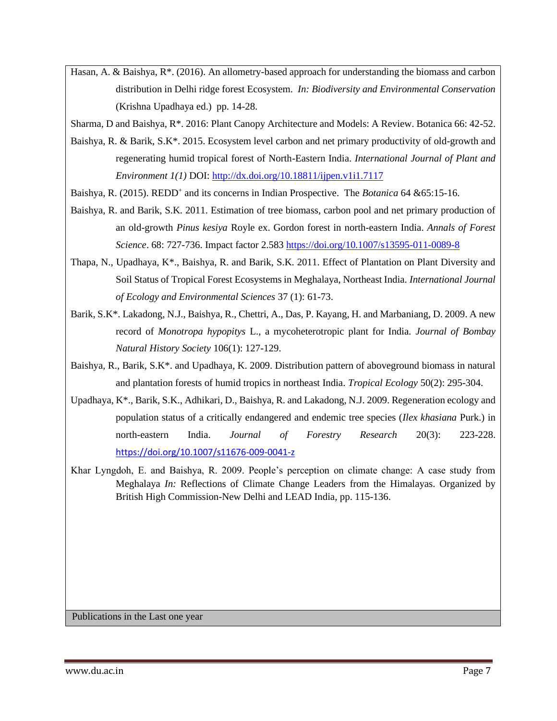- Hasan, A. & Baishya, R\*. (2016). An allometry-based approach for understanding the biomass and carbon distribution in Delhi ridge forest Ecosystem. *In: Biodiversity and Environmental Conservation* (Krishna Upadhaya ed.) pp. 14-28.
- Sharma, D and Baishya, R\*. 2016: Plant Canopy Architecture and Models: A Review. Botanica 66: 42-52.
- Baishya, R. & Barik, S.K\*. 2015. Ecosystem level carbon and net primary productivity of old-growth and regenerating humid tropical forest of North-Eastern India. *International Journal of Plant and Environment 1(1)* DOI:<http://dx.doi.org/10.18811/ijpen.v1i1.7117>
- Baishya, R. (2015). REDD<sup>+</sup> and its concerns in Indian Prospective. The *Botanica* 64 & 65:15-16.
- Baishya, R. and Barik, S.K. 2011. Estimation of tree biomass, carbon pool and net primary production of an old-growth *Pinus kesiya* Royle ex. Gordon forest in north-eastern India. *Annals of Forest Science*. 68: 727-736. Impact factor 2.58[3 https://doi.org/10.1007/s13595-011-0089-8](https://doi.org/10.1007/s13595-011-0089-8)
- Thapa, N., Upadhaya, K\*., Baishya, R. and Barik, S.K. 2011. Effect of Plantation on Plant Diversity and Soil Status of Tropical Forest Ecosystems in Meghalaya, Northeast India. *International Journal of Ecology and Environmental Sciences* 37 (1): 61-73.
- Barik, S.K\*. Lakadong, N.J., Baishya, R., Chettri, A., Das, P. Kayang, H. and Marbaniang, D. 2009. A new record of *Monotropa hypopitys* L., a mycoheterotropic plant for India*. Journal of Bombay Natural History Society* 106(1): 127-129.
- Baishya, R., Barik, S.K\*. and Upadhaya, K. 2009. Distribution pattern of aboveground biomass in natural and plantation forests of humid tropics in northeast India. *Tropical Ecology* 50(2): 295-304.
- Upadhaya, K\*., Barik, S.K., Adhikari, D., Baishya, R. and Lakadong, N.J. 2009. Regeneration ecology and population status of a critically endangered and endemic tree species (*Ilex khasiana* Purk.) in north-eastern India. *Journal of Forestry Research* 20(3): 223-228. <https://doi.org/10.1007/s11676-009-0041-z>
- Khar Lyngdoh, E. and Baishya, R. 2009. People's perception on climate change: A case study from Meghalaya *In:* Reflections of Climate Change Leaders from the Himalayas. Organized by British High Commission-New Delhi and LEAD India, pp. 115-136.

Publications in the Last one year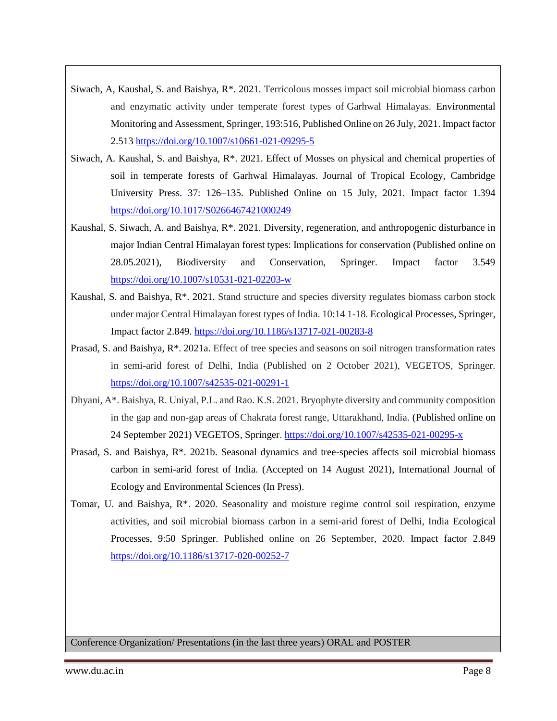- Siwach, A, Kaushal, S. and Baishya, R\*. 2021. Terricolous mosses impact soil microbial biomass carbon and enzymatic activity under temperate forest types of Garhwal Himalayas. Environmental Monitoring and Assessment, Springer, 193:516, Published Online on 26 July, 2021. Impact factor 2.513<https://doi.org/10.1007/s10661-021-09295-5>
- Siwach, A. Kaushal, S. and Baishya, R\*. 2021. Effect of Mosses on physical and chemical properties of soil in temperate forests of Garhwal Himalayas. Journal of Tropical Ecology, Cambridge University Press. 37: 126–135. Published Online on 15 July, 2021. Impact factor 1.394 <https://doi.org/10.1017/S0266467421000249>
- Kaushal, S. Siwach, A. and Baishya, R\*. 2021. Diversity, regeneration, and anthropogenic disturbance in major Indian Central Himalayan forest types: Implications for conservation (Published online on 28.05.2021), Biodiversity and Conservation, Springer. Impact factor 3.549 <https://doi.org/10.1007/s10531-021-02203-w>
- Kaushal, S. and Baishya, R\*. 2021. Stand structure and species diversity regulates biomass carbon stock under major Central Himalayan forest types of India. 10:14 1-18. Ecological Processes, Springer, Impact factor 2.849.<https://doi.org/10.1186/s13717-021-00283-8>
- Prasad, S. and Baishya, R\*. 2021a. Effect of tree species and seasons on soil nitrogen transformation rates in semi-arid forest of Delhi, India (Published on 2 October 2021), VEGETOS, Springer. <https://doi.org/10.1007/s42535-021-00291-1>
- Dhyani, A\*. Baishya, R. Uniyal, P.L. and Rao. K.S. 2021. Bryophyte diversity and community composition in the gap and non-gap areas of Chakrata forest range, Uttarakhand, India. (Published online on 24 September 2021) VEGETOS, Springer[. https://doi.org/10.1007/s42535-021-00295-x](https://doi.org/10.1007/s42535-021-00295-x)
- Prasad, S. and Baishya, R\*. 2021b. Seasonal dynamics and tree-species affects soil microbial biomass carbon in semi-arid forest of India. (Accepted on 14 August 2021), International Journal of Ecology and Environmental Sciences (In Press).
- Tomar, U. and Baishya, R\*. 2020. Seasonality and moisture regime control soil respiration, enzyme activities, and soil microbial biomass carbon in a semi-arid forest of Delhi, India Ecological Processes, 9:50 Springer. Published online on 26 September, 2020. Impact factor 2.849 <https://doi.org/10.1186/s13717-020-00252-7>

Conference Organization/ Presentations (in the last three years) ORAL and POSTER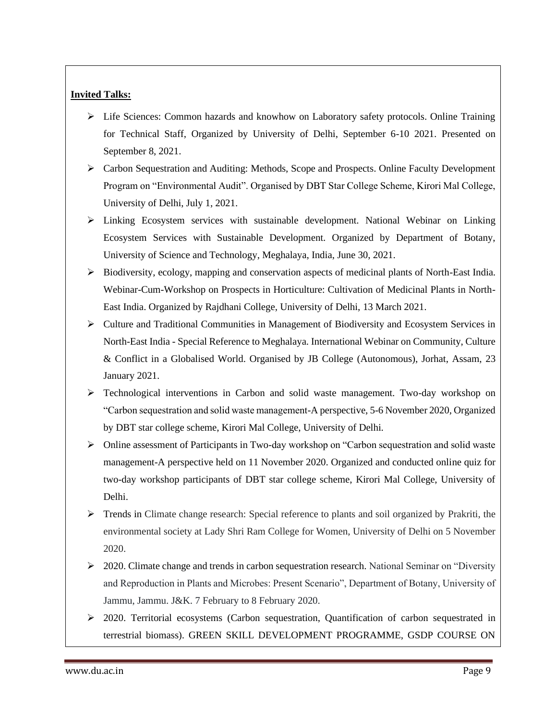#### **Invited Talks:**

- ➢ Life Sciences: Common hazards and knowhow on Laboratory safety protocols. Online Training for Technical Staff, Organized by University of Delhi, September 6-10 2021. Presented on September 8, 2021.
- ➢ Carbon Sequestration and Auditing: Methods, Scope and Prospects. Online Faculty Development Program on "Environmental Audit". Organised by DBT Star College Scheme, Kirori Mal College, University of Delhi, July 1, 2021.
- ➢ Linking Ecosystem services with sustainable development. National Webinar on Linking Ecosystem Services with Sustainable Development. Organized by Department of Botany, University of Science and Technology, Meghalaya, India, June 30, 2021.
- ➢ Biodiversity, ecology, mapping and conservation aspects of medicinal plants of North-East India. Webinar-Cum-Workshop on Prospects in Horticulture: Cultivation of Medicinal Plants in North-East India. Organized by Rajdhani College, University of Delhi, 13 March 2021.
- ➢ Culture and Traditional Communities in Management of Biodiversity and Ecosystem Services in North-East India - Special Reference to Meghalaya. International Webinar on Community, Culture & Conflict in a Globalised World. Organised by JB College (Autonomous), Jorhat, Assam, 23 January 2021.
- ➢ Technological interventions in Carbon and solid waste management. Two-day workshop on "Carbon sequestration and solid waste management-A perspective, 5-6 November 2020, Organized by DBT star college scheme, Kirori Mal College, University of Delhi.
- ➢ Online assessment of Participants in Two-day workshop on "Carbon sequestration and solid waste management-A perspective held on 11 November 2020. Organized and conducted online quiz for two-day workshop participants of DBT star college scheme, Kirori Mal College, University of Delhi.
- ➢ Trends in Climate change research: Special reference to plants and soil organized by Prakriti, the environmental society at Lady Shri Ram College for Women, University of Delhi on 5 November 2020.
- ➢ 2020. Climate change and trends in carbon sequestration research. National Seminar on "Diversity and Reproduction in Plants and Microbes: Present Scenario", Department of Botany, University of Jammu, Jammu. J&K. 7 February to 8 February 2020.
- $\geq$  2020. Territorial ecosystems (Carbon sequestration, Quantification of carbon sequestrated in terrestrial biomass). GREEN SKILL DEVELOPMENT PROGRAMME, GSDP COURSE ON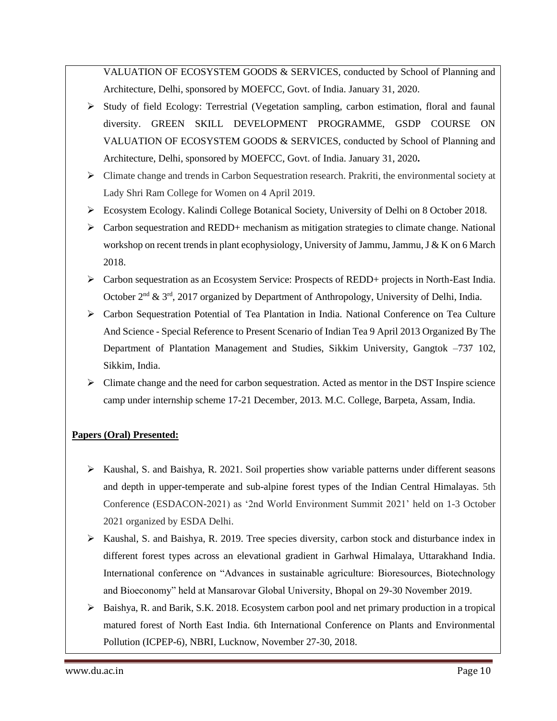VALUATION OF ECOSYSTEM GOODS & SERVICES, conducted by School of Planning and Architecture, Delhi, sponsored by MOEFCC, Govt. of India. January 31, 2020.

- ➢ Study of field Ecology: Terrestrial (Vegetation sampling, carbon estimation, floral and faunal diversity. GREEN SKILL DEVELOPMENT PROGRAMME, GSDP COURSE ON VALUATION OF ECOSYSTEM GOODS & SERVICES, conducted by School of Planning and Architecture, Delhi, sponsored by MOEFCC, Govt. of India. January 31, 2020**.**
- $\triangleright$  Climate change and trends in Carbon Sequestration research. Prakriti, the environmental society at Lady Shri Ram College for Women on 4 April 2019.
- ➢ Ecosystem Ecology. Kalindi College Botanical Society, University of Delhi on 8 October 2018.
- $\triangleright$  Carbon sequestration and REDD+ mechanism as mitigation strategies to climate change. National workshop on recent trends in plant ecophysiology, University of Jammu, Jammu, J & K on 6 March 2018.
- ➢ Carbon sequestration as an Ecosystem Service: Prospects of REDD+ projects in North-East India. October  $2<sup>nd</sup>$  &  $3<sup>rd</sup>$ , 2017 organized by Department of Anthropology, University of Delhi, India.
- ➢ Carbon Sequestration Potential of Tea Plantation in India. National Conference on Tea Culture And Science - Special Reference to Present Scenario of Indian Tea 9 April 2013 Organized By The Department of Plantation Management and Studies, Sikkim University, Gangtok –737 102, Sikkim, India.
- $\triangleright$  Climate change and the need for carbon sequestration. Acted as mentor in the DST Inspire science camp under internship scheme 17-21 December, 2013. M.C. College, Barpeta, Assam, India.

## **Papers (Oral) Presented:**

- ➢ Kaushal, S. and Baishya, R. 2021. Soil properties show variable patterns under different seasons and depth in upper-temperate and sub-alpine forest types of the Indian Central Himalayas. 5th Conference (ESDACON-2021) as '2nd World Environment Summit 2021' held on 1-3 October 2021 organized by ESDA Delhi.
- $\triangleright$  Kaushal, S. and Baishya, R. 2019. Tree species diversity, carbon stock and disturbance index in different forest types across an elevational gradient in Garhwal Himalaya, Uttarakhand India. International conference on "Advances in sustainable agriculture: Bioresources, Biotechnology and Bioeconomy" held at Mansarovar Global University, Bhopal on 29-30 November 2019.
- $\triangleright$  Baishya, R. and Barik, S.K. 2018. Ecosystem carbon pool and net primary production in a tropical matured forest of North East India. 6th International Conference on Plants and Environmental Pollution (ICPEP-6), NBRI, Lucknow, November 27-30, 2018.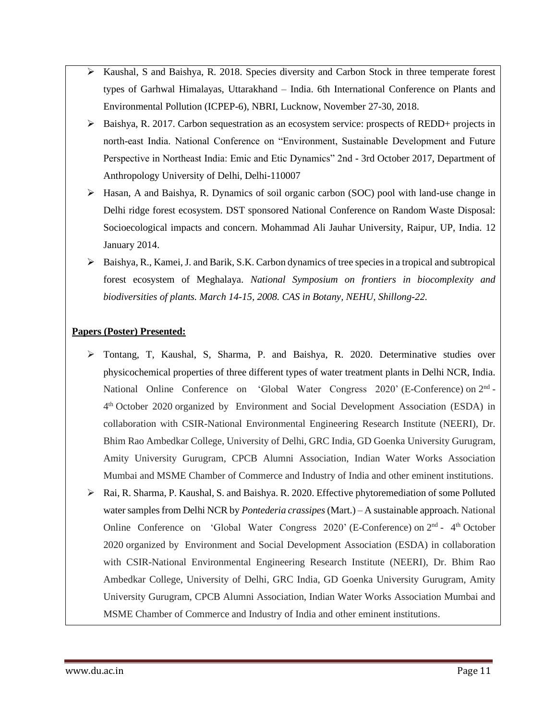- $\triangleright$  Kaushal, S and Baishya, R. 2018. Species diversity and Carbon Stock in three temperate forest types of Garhwal Himalayas, Uttarakhand – India. 6th International Conference on Plants and Environmental Pollution (ICPEP-6), NBRI, Lucknow, November 27-30, 2018.
- ➢ Baishya, R. 2017. Carbon sequestration as an ecosystem service: prospects of REDD+ projects in north-east India. National Conference on "Environment, Sustainable Development and Future Perspective in Northeast India: Emic and Etic Dynamics" 2nd - 3rd October 2017, Department of Anthropology University of Delhi, Delhi-110007
- ➢ Hasan, A and Baishya, R. Dynamics of soil organic carbon (SOC) pool with land-use change in Delhi ridge forest ecosystem. DST sponsored National Conference on Random Waste Disposal: Socioecological impacts and concern. Mohammad Ali Jauhar University, Raipur, UP, India. 12 January 2014.
- ➢ Baishya, R., Kamei, J. and Barik, S.K. Carbon dynamics of tree species in a tropical and subtropical forest ecosystem of Meghalaya. *National Symposium on frontiers in biocomplexity and biodiversities of plants. March 14-15, 2008. CAS in Botany, NEHU, Shillong-22.*

#### **Papers (Poster) Presented:**

- ➢ Tontang, T, Kaushal, S, Sharma, P. and Baishya, R. 2020. Determinative studies over physicochemical properties of three different types of water treatment plants in Delhi NCR, India. National Online Conference on 'Global Water Congress 2020' (E-Conference) on 2<sup>nd</sup> -4<sup>th</sup> October 2020 organized by Environment and Social Development Association (ESDA) in collaboration with CSIR-National Environmental Engineering Research Institute (NEERI), Dr. Bhim Rao Ambedkar College, University of Delhi, GRC India, GD Goenka University Gurugram, Amity University Gurugram, CPCB Alumni Association, Indian Water Works Association Mumbai and MSME Chamber of Commerce and Industry of India and other eminent institutions.
- ➢ Rai, R. Sharma, P. Kaushal, S. and Baishya. R. 2020. Effective phytoremediation of some Polluted water samples from Delhi NCR by *Pontederia crassipes*(Mart.) – A sustainable approach. National Online Conference on 'Global Water Congress 2020' (E-Conference) on 2<sup>nd</sup> - 4<sup>th</sup> October 2020 organized by Environment and Social Development Association (ESDA) in collaboration with CSIR-National Environmental Engineering Research Institute (NEERI), Dr. Bhim Rao Ambedkar College, University of Delhi, GRC India, GD Goenka University Gurugram, Amity University Gurugram, CPCB Alumni Association, Indian Water Works Association Mumbai and MSME Chamber of Commerce and Industry of India and other eminent institutions.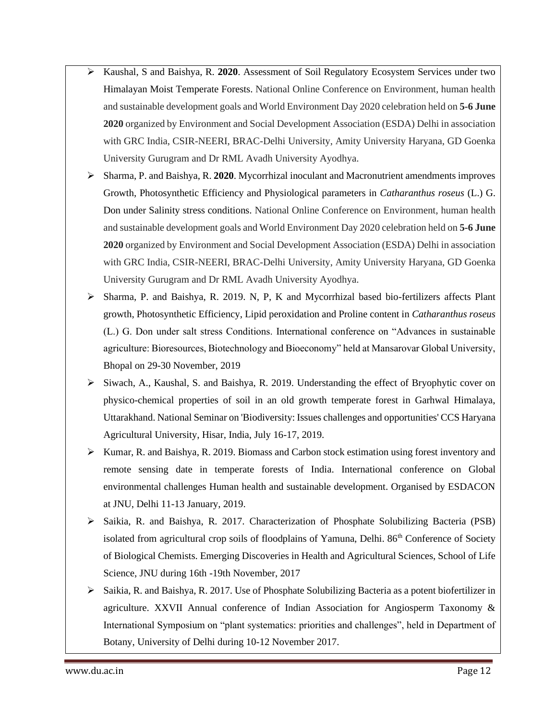- ➢ Kaushal, S and Baishya, R. **2020**. Assessment of Soil Regulatory Ecosystem Services under two Himalayan Moist Temperate Forests. National Online Conference on Environment, human health and sustainable development goals and World Environment Day 2020 celebration held on **5-6 June 2020** organized by Environment and Social Development Association (ESDA) Delhi in association with GRC India, CSIR-NEERI, BRAC-Delhi University, Amity University Haryana, GD Goenka University Gurugram and Dr RML Avadh University Ayodhya.
- ➢ Sharma, P. and Baishya, R. **2020**. Mycorrhizal inoculant and Macronutrient amendments improves Growth, Photosynthetic Efficiency and Physiological parameters in *Catharanthus roseus* (L.) G. Don under Salinity stress conditions. National Online Conference on Environment, human health and sustainable development goals and World Environment Day 2020 celebration held on **5-6 June 2020** organized by Environment and Social Development Association (ESDA) Delhi in association with GRC India, CSIR-NEERI, BRAC-Delhi University, Amity University Haryana, GD Goenka University Gurugram and Dr RML Avadh University Ayodhya.
- ➢ Sharma, P. and Baishya, R. 2019. N, P, K and Mycorrhizal based bio-fertilizers affects Plant growth, Photosynthetic Efficiency, Lipid peroxidation and Proline content in *Catharanthus roseus* (L.) G. Don under salt stress Conditions. International conference on "Advances in sustainable agriculture: Bioresources, Biotechnology and Bioeconomy" held at Mansarovar Global University, Bhopal on 29-30 November, 2019
- $\triangleright$  Siwach, A., Kaushal, S. and Baishya, R. 2019. Understanding the effect of Bryophytic cover on physico-chemical properties of soil in an old growth temperate forest in Garhwal Himalaya, Uttarakhand. National Seminar on 'Biodiversity: Issues challenges and opportunities' CCS Haryana Agricultural University, Hisar, India, July 16-17, 2019.
- $\triangleright$  Kumar, R. and Baishya, R. 2019. Biomass and Carbon stock estimation using forest inventory and remote sensing date in temperate forests of India. International conference on Global environmental challenges Human health and sustainable development. Organised by ESDACON at JNU, Delhi 11-13 January, 2019.
- ➢ Saikia, R. and Baishya, R. 2017. Characterization of Phosphate Solubilizing Bacteria (PSB) isolated from agricultural crop soils of floodplains of Yamuna, Delhi. 86<sup>th</sup> Conference of Society of Biological Chemists. Emerging Discoveries in Health and Agricultural Sciences, School of Life Science, JNU during 16th -19th November, 2017
- ➢ Saikia, R. and Baishya, R. 2017. Use of Phosphate Solubilizing Bacteria as a potent biofertilizer in agriculture. XXVII Annual conference of Indian Association for Angiosperm Taxonomy & International Symposium on "plant systematics: priorities and challenges", held in Department of Botany, University of Delhi during 10-12 November 2017.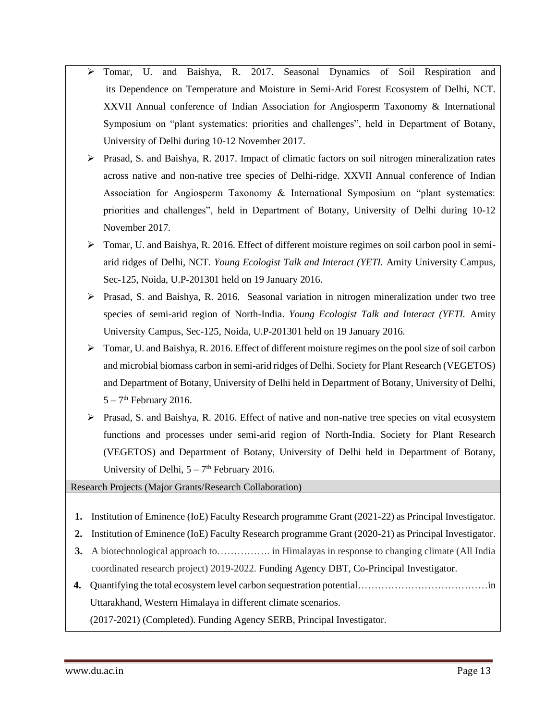- ➢ Tomar, U. and Baishya, R. 2017. Seasonal Dynamics of Soil Respiration and its Dependence on Temperature and Moisture in Semi-Arid Forest Ecosystem of Delhi, NCT. XXVII Annual conference of Indian Association for Angiosperm Taxonomy & International Symposium on "plant systematics: priorities and challenges", held in Department of Botany, University of Delhi during 10-12 November 2017.
- ➢ Prasad, S. and Baishya, R. 2017. Impact of climatic factors on soil nitrogen mineralization rates across native and non-native tree species of Delhi-ridge. XXVII Annual conference of Indian Association for Angiosperm Taxonomy & International Symposium on "plant systematics: priorities and challenges", held in Department of Botany, University of Delhi during 10-12 November 2017.
- ➢ Tomar, U. and Baishya, R. 2016. Effect of different moisture regimes on soil carbon pool in semiarid ridges of Delhi, NCT. *Young Ecologist Talk and Interact (YETI.* Amity University Campus, Sec-125, Noida, U.P-201301 held on 19 January 2016.
- ➢ Prasad, S. and Baishya, R. 2016. Seasonal variation in nitrogen mineralization under two tree species of semi-arid region of North-India. *Young Ecologist Talk and Interact (YETI.* Amity University Campus, Sec-125, Noida, U.P-201301 held on 19 January 2016.
- ➢ Tomar, U. and Baishya, R. 2016. Effect of different moisture regimes on the pool size of soil carbon and microbial biomass carbon in semi-arid ridges of Delhi. Society for Plant Research (VEGETOS) and Department of Botany, University of Delhi held in Department of Botany, University of Delhi,  $5 - 7$ <sup>th</sup> February 2016.
- ➢ Prasad, S. and Baishya, R. 2016. Effect of native and non-native tree species on vital ecosystem functions and processes under semi-arid region of North-India. Society for Plant Research (VEGETOS) and Department of Botany, University of Delhi held in Department of Botany, University of Delhi,  $5 - 7<sup>th</sup>$  February 2016.

Research Projects (Major Grants/Research Collaboration)

- **1.** Institution of Eminence (IoE) Faculty Research programme Grant (2021-22) as Principal Investigator.
- **2.** Institution of Eminence (IoE) Faculty Research programme Grant (2020-21) as Principal Investigator.
- **3.** A biotechnological approach to……………. in Himalayas in response to changing climate (All India coordinated research project) 2019-2022. Funding Agency DBT, Co-Principal Investigator.
- **4.** Quantifying the total ecosystem level carbon sequestration potential…………………………………in Uttarakhand, Western Himalaya in different climate scenarios.

(2017-2021) (Completed). Funding Agency SERB, Principal Investigator.